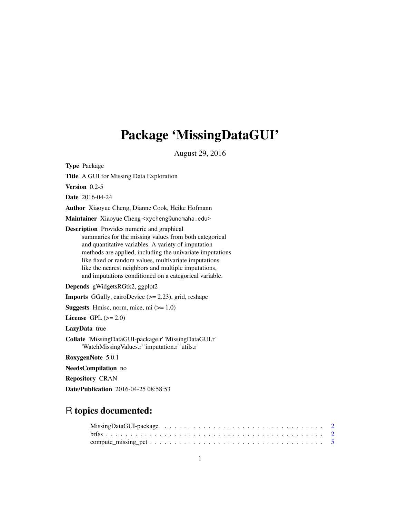## Package 'MissingDataGUI'

August 29, 2016

<span id="page-0-0"></span>Type Package

Title A GUI for Missing Data Exploration

Version 0.2-5

Date 2016-04-24

Author Xiaoyue Cheng, Dianne Cook, Heike Hofmann

Maintainer Xiaoyue Cheng <xycheng@unomaha.edu>

Description Provides numeric and graphical summaries for the missing values from both categorical and quantitative variables. A variety of imputation methods are applied, including the univariate imputations like fixed or random values, multivariate imputations like the nearest neighbors and multiple imputations, and imputations conditioned on a categorical variable.

Depends gWidgetsRGtk2, ggplot2

**Imports** GGally, cairoDevice  $(>= 2.23)$ , grid, reshape

**Suggests** Hmisc, norm, mice, mi  $(>= 1.0)$ 

License GPL  $(>= 2.0)$ 

LazyData true

Collate 'MissingDataGUI-package.r' 'MissingDataGUI.r' 'WatchMissingValues.r' 'imputation.r' 'utils.r'

RoxygenNote 5.0.1

NeedsCompilation no

Repository CRAN

Date/Publication 2016-04-25 08:58:53

## R topics documented: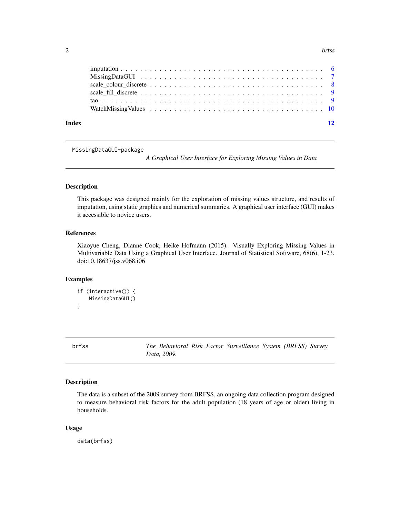#### <span id="page-1-0"></span> $2 \t\t b$ rfss

| 12 |
|----|
|    |
|    |
|    |
|    |
|    |
|    |
|    |

MissingDataGUI-package

*A Graphical User Interface for Exploring Missing Values in Data*

## Description

This package was designed mainly for the exploration of missing values structure, and results of imputation, using static graphics and numerical summaries. A graphical user interface (GUI) makes it accessible to novice users.

## References

Xiaoyue Cheng, Dianne Cook, Heike Hofmann (2015). Visually Exploring Missing Values in Multivariable Data Using a Graphical User Interface. Journal of Statistical Software, 68(6), 1-23. doi:10.18637/jss.v068.i06

## Examples

```
if (interactive()) {
    MissingDataGUI()
}
```
brfss *The Behavioral Risk Factor Surveillance System (BRFSS) Survey Data, 2009.*

#### Description

The data is a subset of the 2009 survey from BRFSS, an ongoing data collection program designed to measure behavioral risk factors for the adult population (18 years of age or older) living in households.

## Usage

data(brfss)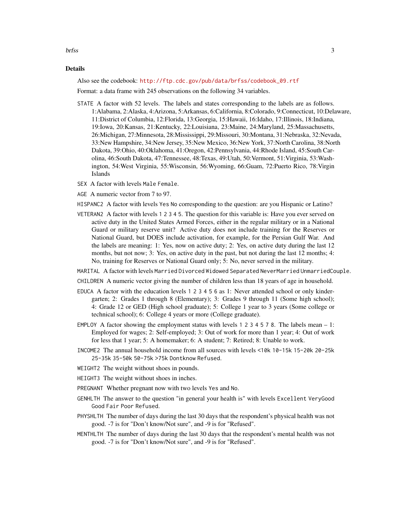brfss 3

#### Details

Also see the codebook: [http://ftp.cdc.gov/pub/data/brfss/codebook\\_09.rtf](http://ftp.cdc.gov/pub/data/brfss/codebook_09.rtf)

Format: a data frame with 245 observations on the following 34 variables.

- STATE A factor with 52 levels. The labels and states corresponding to the labels are as follows. 1:Alabama, 2:Alaska, 4:Arizona, 5:Arkansas, 6:California, 8:Colorado, 9:Connecticut, 10:Delaware, 11:District of Columbia, 12:Florida, 13:Georgia, 15:Hawaii, 16:Idaho, 17:Illinois, 18:Indiana, 19:Iowa, 20:Kansas, 21:Kentucky, 22:Louisiana, 23:Maine, 24:Maryland, 25:Massachusetts, 26:Michigan, 27:Minnesota, 28:Mississippi, 29:Missouri, 30:Montana, 31:Nebraska, 32:Nevada, 33:New Hampshire, 34:New Jersey, 35:New Mexico, 36:New York, 37:North Carolina, 38:North Dakota, 39:Ohio, 40:Oklahoma, 41:Oregon, 42:Pennsylvania, 44:Rhode Island, 45:South Carolina, 46:South Dakota, 47:Tennessee, 48:Texas, 49:Utah, 50:Vermont, 51:Virginia, 53:Washington, 54:West Virginia, 55:Wisconsin, 56:Wyoming, 66:Guam, 72:Puerto Rico, 78:Virgin Islands
- SEX A factor with levels Male Female.
- AGE A numeric vector from 7 to 97.
- HISPANC2 A factor with levels Yes No corresponding to the question: are you Hispanic or Latino?
- VETERAN2 A factor with levels 1 2 3 4 5. The question for this variable is: Have you ever served on active duty in the United States Armed Forces, either in the regular military or in a National Guard or military reserve unit? Active duty does not include training for the Reserves or National Guard, but DOES include activation, for example, for the Persian Gulf War. And the labels are meaning: 1: Yes, now on active duty; 2: Yes, on active duty during the last 12 months, but not now; 3: Yes, on active duty in the past, but not during the last 12 months; 4: No, training for Reserves or National Guard only; 5: No, never served in the military.
- MARITAL A factor with levels Married Divorced Widowed Separated NeverMarried UnmarriedCouple.
- CHILDREN A numeric vector giving the number of children less than 18 years of age in household.
- EDUCA A factor with the education levels 1 2 3 4 5 6 as 1: Never attended school or only kindergarten; 2: Grades 1 through 8 (Elementary); 3: Grades 9 through 11 (Some high school); 4: Grade 12 or GED (High school graduate); 5: College 1 year to 3 years (Some college or technical school); 6: College 4 years or more (College graduate).
- EMPLOY A factor showing the employment status with levels 1 2 3 4 5 7 8. The labels mean  $-1$ : Employed for wages; 2: Self-employed; 3: Out of work for more than 1 year; 4: Out of work for less that 1 year; 5: A homemaker; 6: A student; 7: Retired; 8: Unable to work.
- INCOME2 The annual household income from all sources with levels <10k 10-15k 15-20k 20-25k 25-35k 35-50k 50-75k >75k Dontknow Refused.
- WEIGHT2 The weight without shoes in pounds.
- HEIGHT3 The weight without shoes in inches.
- PREGNANT Whether pregnant now with two levels Yes and No.
- GENHLTH The answer to the question "in general your health is" with levels Excellent VeryGood Good Fair Poor Refused.
- PHYSHLTH The number of days during the last 30 days that the respondent's physical health was not good. -7 is for "Don't know/Not sure", and -9 is for "Refused".
- MENTHLTH The number of days during the last 30 days that the respondent's mental health was not good. -7 is for "Don't know/Not sure", and -9 is for "Refused".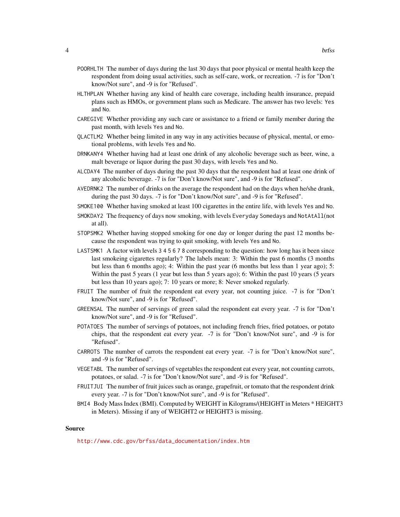- POORHLTH The number of days during the last 30 days that poor physical or mental health keep the respondent from doing usual activities, such as self-care, work, or recreation. -7 is for "Don't know/Not sure", and -9 is for "Refused".
- HLTHPLAN Whether having any kind of health care coverage, including health insurance, prepaid plans such as HMOs, or government plans such as Medicare. The answer has two levels: Yes and No.
- CAREGIVE Whether providing any such care or assistance to a friend or family member during the past month, with levels Yes and No.
- QLACTLM2 Whether being limited in any way in any activities because of physical, mental, or emotional problems, with levels Yes and No.
- DRNKANY4 Whether having had at least one drink of any alcoholic beverage such as beer, wine, a malt beverage or liquor during the past 30 days, with levels Yes and No.
- ALCDAY4 The number of days during the past 30 days that the respondent had at least one drink of any alcoholic beverage. -7 is for "Don't know/Not sure", and -9 is for "Refused".
- AVEDRNK2 The number of drinks on the average the respondent had on the days when he/she drank, during the past 30 days. -7 is for "Don't know/Not sure", and -9 is for "Refused".
- SMOKE100 Whether having smoked at least 100 cigarettes in the entire life, with levels Yes and No.
- SMOKDAY2 The frequency of days now smoking, with levels Everyday Somedays and NotAtAll(not at all).
- STOPSMK2 Whether having stopped smoking for one day or longer during the past 12 months because the respondent was trying to quit smoking, with levels Yes and No.
- LASTSMK1 A factor with levels 3 4 5 6 7 8 corresponding to the question: how long has it been since last smokeing cigarettes regularly? The labels mean: 3: Within the past 6 months (3 months but less than 6 months ago); 4: Within the past year (6 months but less than 1 year ago); 5: Within the past 5 years (1 year but less than 5 years ago); 6: Within the past 10 years (5 years but less than 10 years ago); 7: 10 years or more; 8: Never smoked regularly.
- FRUIT The number of fruit the respondent eat every year, not counting juice. -7 is for "Don't know/Not sure", and -9 is for "Refused".
- GREENSAL The number of servings of green salad the respondent eat every year. -7 is for "Don't know/Not sure", and -9 is for "Refused".
- POTATOES The number of servings of potatoes, not including french fries, fried potatoes, or potato chips, that the respondent eat every year. -7 is for "Don't know/Not sure", and -9 is for "Refused".
- CARROTS The number of carrots the respondent eat every year. -7 is for "Don't know/Not sure", and -9 is for "Refused".
- VEGETABL The number of servings of vegetables the respondent eat every year, not counting carrots, potatoes, or salad. -7 is for "Don't know/Not sure", and -9 is for "Refused".
- FRUITJUI The number of fruit juices such as orange, grapefruit, or tomato that the respondent drink every year. -7 is for "Don't know/Not sure", and -9 is for "Refused".
- BMI4 Body Mass Index (BMI). Computed by WEIGHT in Kilograms/(HEIGHT in Meters \* HEIGHT3 in Meters). Missing if any of WEIGHT2 or HEIGHT3 is missing.

#### Source

[http://www.cdc.gov/brfss/data\\_documentation/index.htm](http://www.cdc.gov/brfss/data_documentation/index.htm)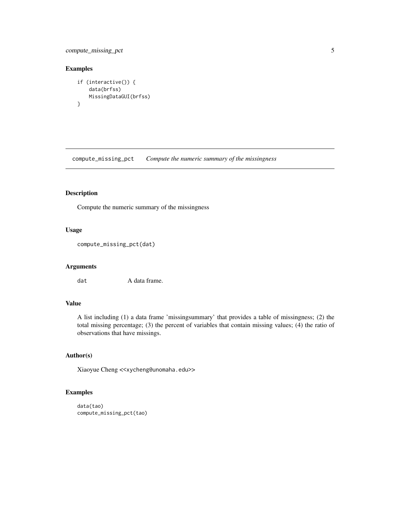## <span id="page-4-0"></span>compute\_missing\_pct 5

## Examples

```
if (interactive()) {
    data(brfss)
   MissingDataGUI(brfss)
}
```
compute\_missing\_pct *Compute the numeric summary of the missingness*

## Description

Compute the numeric summary of the missingness

## Usage

```
compute_missing_pct(dat)
```
### Arguments

dat A data frame.

## Value

A list including (1) a data frame 'missingsummary' that provides a table of missingness; (2) the total missing percentage; (3) the percent of variables that contain missing values; (4) the ratio of observations that have missings.

## Author(s)

Xiaoyue Cheng <<xycheng@unomaha.edu>>

## Examples

```
data(tao)
compute_missing_pct(tao)
```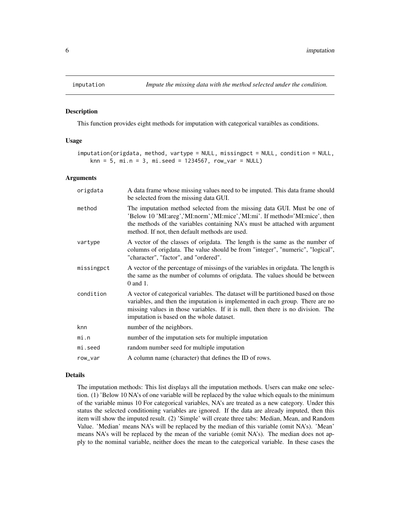<span id="page-5-0"></span>

#### Description

This function provides eight methods for imputation with categorical varaibles as conditions.

#### Usage

```
imputation(origdata, method, vartype = NULL, missingpct = NULL, condition = NULL,
   kmn = 5, mi.n = 3, mi.seed = 1234567, row\_var = NULL
```
#### Arguments

| origdata   | A data frame whose missing values need to be imputed. This data frame should<br>be selected from the missing data GUI.                                                                                                                                                                              |
|------------|-----------------------------------------------------------------------------------------------------------------------------------------------------------------------------------------------------------------------------------------------------------------------------------------------------|
| method     | The imputation method selected from the missing data GUI. Must be one of<br>'Below 10 'MI:areg','MI:norm','MI:mice','MI:mi'. If method='MI:mice', then<br>the methods of the variables containing NA's must be attached with argument<br>method. If not, then default methods are used.             |
| vartype    | A vector of the classes of origdata. The length is the same as the number of<br>columns of origdata. The value should be from "integer", "numeric", "logical",<br>"character", "factor", and "ordered".                                                                                             |
| missingpct | A vector of the percentage of missings of the variables in origdata. The length is<br>the same as the number of columns of origdata. The values should be between<br>$0$ and $1$ .                                                                                                                  |
| condition  | A vector of categorical variables. The dataset will be partitioned based on those<br>variables, and then the imputation is implemented in each group. There are no<br>missing values in those variables. If it is null, then there is no division. The<br>imputation is based on the whole dataset. |
| knn        | number of the neighbors.                                                                                                                                                                                                                                                                            |
| mi.n       | number of the imputation sets for multiple imputation                                                                                                                                                                                                                                               |
| mi.seed    | random number seed for multiple imputation                                                                                                                                                                                                                                                          |
| row_var    | A column name (character) that defines the ID of rows.                                                                                                                                                                                                                                              |

#### Details

The imputation methods: This list displays all the imputation methods. Users can make one selection. (1) 'Below 10 NA's of one variable will be replaced by the value which equals to the minimum of the variable minus 10 For categorical variables, NA's are treated as a new category. Under this status the selected conditioning variables are ignored. If the data are already imputed, then this item will show the imputed result. (2) 'Simple' will create three tabs: Median, Mean, and Random Value. 'Median' means NA's will be replaced by the median of this variable (omit NA's). 'Mean' means NA's will be replaced by the mean of the variable (omit NA's). The median does not apply to the nominal variable, neither does the mean to the categorical variable. In these cases the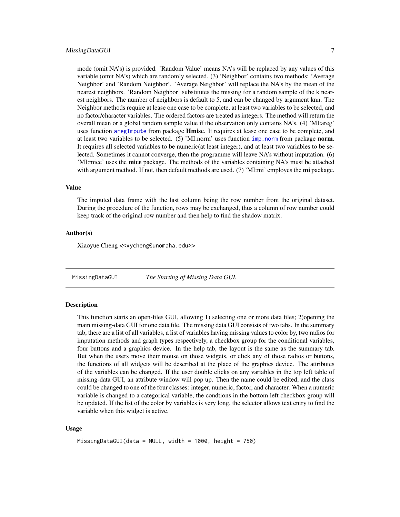### <span id="page-6-0"></span>MissingDataGUI 7 2012 12:30 12:30 12:30 12:30 12:30 12:30 12:30 12:30 12:30 12:30 12:30 12:30 12:30 12:30 12:30 12:30 12:30 12:30 12:30 12:30 12:30 12:30 12:30 12:30 12:30 12:30 12:30 12:30 12:30 12:30 12:30 12:30 12:30 12

mode (omit NA's) is provided. 'Random Value' means NA's will be replaced by any values of this variable (omit NA's) which are randomly selected. (3) 'Neighbor' contains two methods: 'Average Neighbor' and 'Random Neighbor'. 'Average Neighbor' will replace the NA's by the mean of the nearest neighbors. 'Random Neighbor' substitutes the missing for a random sample of the k nearest neighbors. The number of neighbors is default to 5, and can be changed by argument knn. The Neighbor methods require at lease one case to be complete, at least two variables to be selected, and no factor/character variables. The ordered factors are treated as integers. The method will return the overall mean or a global random sample value if the observation only contains NA's. (4) 'MI:areg' uses function [aregImpute](#page-0-0) from package **Hmisc**. It requires at lease one case to be complete, and at least two variables to be selected.  $(5)$  'MI:norm' uses function [imp.norm](#page-0-0) from package **norm**. It requires all selected variables to be numeric(at least integer), and at least two variables to be selected. Sometimes it cannot converge, then the programme will leave NA's without imputation. (6) 'MI:mice' uses the mice package. The methods of the variables containing NA's must be attached with argument method. If not, then default methods are used.  $(7)$  'MI:mi' employes the **mi** package.

#### Value

The imputed data frame with the last column being the row number from the original dataset. During the procedure of the function, rows may be exchanged, thus a column of row number could keep track of the original row number and then help to find the shadow matrix.

### Author(s)

Xiaoyue Cheng <<xycheng@unomaha.edu>>

<span id="page-6-1"></span>MissingDataGUI *The Starting of Missing Data GUI.*

## **Description**

This function starts an open-files GUI, allowing 1) selecting one or more data files; 2)opening the main missing-data GUI for one data file. The missing data GUI consists of two tabs. In the summary tab, there are a list of all variables, a list of variables having missing values to color by, two radios for imputation methods and graph types respectively, a checkbox group for the conditional variables, four buttons and a graphics device. In the help tab, the layout is the same as the summary tab. But when the users move their mouse on those widgets, or click any of those radios or buttons, the functions of all widgets will be described at the place of the graphics device. The attributes of the variables can be changed. If the user double clicks on any variables in the top left table of missing-data GUI, an attribute window will pop up. Then the name could be edited, and the class could be changed to one of the four classes: integer, numeric, factor, and character. When a numeric variable is changed to a categorical variable, the condtions in the bottom left checkbox group will be updated. If the list of the color by variables is very long, the selector allows text entry to find the variable when this widget is active.

#### Usage

```
MissingDataGUI(data = NULL, width = 1000, height = 750)
```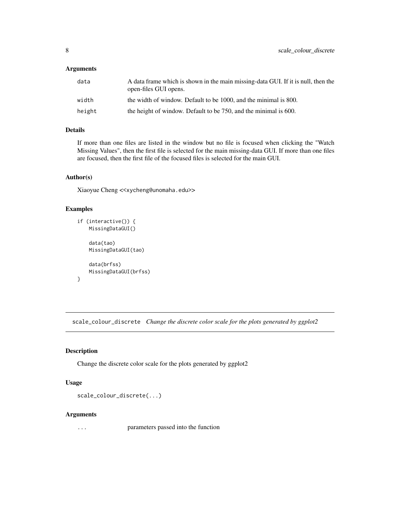## <span id="page-7-0"></span>Arguments

| data   | A data frame which is shown in the main missing-data GUI. If it is null, then the<br>open-files GUI opens. |
|--------|------------------------------------------------------------------------------------------------------------|
| width  | the width of window. Default to be 1000, and the minimal is 800.                                           |
| height | the height of window. Default to be 750, and the minimal is 600.                                           |

## Details

If more than one files are listed in the window but no file is focused when clicking the "Watch Missing Values", then the first file is selected for the main missing-data GUI. If more than one files are focused, then the first file of the focused files is selected for the main GUI.

#### Author(s)

Xiaoyue Cheng <<xycheng@unomaha.edu>>

## Examples

```
if (interactive()) {
   MissingDataGUI()
    data(tao)
   MissingDataGUI(tao)
    data(brfss)
   MissingDataGUI(brfss)
}
```
scale\_colour\_discrete *Change the discrete color scale for the plots generated by ggplot2*

## Description

Change the discrete color scale for the plots generated by ggplot2

#### Usage

```
scale_colour_discrete(...)
```
#### Arguments

... parameters passed into the function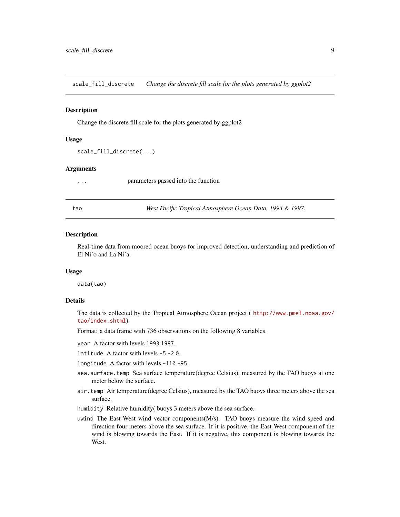<span id="page-8-0"></span>scale\_fill\_discrete *Change the discrete fill scale for the plots generated by ggplot2*

#### **Description**

Change the discrete fill scale for the plots generated by ggplot2

#### Usage

```
scale_fill_discrete(...)
```
#### Arguments

... parameters passed into the function

tao *West Pacific Tropical Atmosphere Ocean Data, 1993 & 1997.*

#### **Description**

Real-time data from moored ocean buoys for improved detection, understanding and prediction of El Ni'o and La Ni'a.

#### Usage

data(tao)

## Details

The data is collected by the Tropical Atmosphere Ocean project ( [http://www.pmel.noaa.gov/](http://www.pmel.noaa.gov/tao/index.shtml) [tao/index.shtml](http://www.pmel.noaa.gov/tao/index.shtml)).

Format: a data frame with 736 observations on the following 8 variables.

year A factor with levels 1993 1997.

latitude A factor with levels -5 -2 0.

longitude A factor with levels -110 -95.

- sea.surface.temp Sea surface temperature(degree Celsius), measured by the TAO buoys at one meter below the surface.
- air.temp Air temperature(degree Celsius), measured by the TAO buoys three meters above the sea surface.
- humidity Relative humidity( buoys 3 meters above the sea surface.
- uwind The East-West wind vector components(M/s). TAO buoys measure the wind speed and direction four meters above the sea surface. If it is positive, the East-West component of the wind is blowing towards the East. If it is negative, this component is blowing towards the West.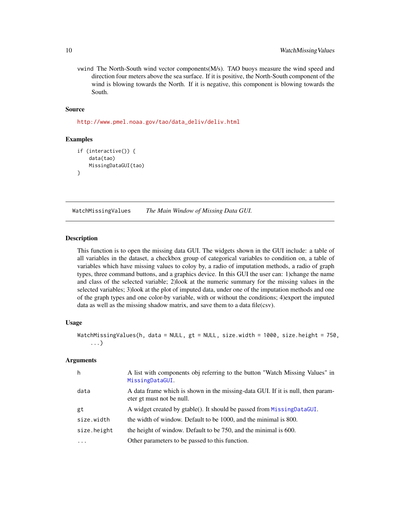<span id="page-9-0"></span>vwind The North-South wind vector components(M/s). TAO buoys measure the wind speed and direction four meters above the sea surface. If it is positive, the North-South component of the wind is blowing towards the North. If it is negative, this component is blowing towards the South.

#### Source

[http://www.pmel.noaa.gov/tao/data\\_deliv/deliv.html](http://www.pmel.noaa.gov/tao/data_deliv/deliv.html)

#### Examples

```
if (interactive()) {
    data(tao)
    MissingDataGUI(tao)
}
```
WatchMissingValues *The Main Window of Missing Data GUI.*

#### Description

This function is to open the missing data GUI. The widgets shown in the GUI include: a table of all variables in the dataset, a checkbox group of categorical variables to condition on, a table of variables which have missing values to coloy by, a radio of imputation methods, a radio of graph types, three command buttons, and a graphics device. In this GUI the user can: 1)change the name and class of the selected variable; 2)look at the numeric summary for the missing values in the selected variables; 3)look at the plot of imputed data, under one of the imputation methods and one of the graph types and one color-by variable, with or without the conditions; 4)export the imputed data as well as the missing shadow matrix, and save them to a data file(csv).

## Usage

```
WatchMissingValues(h, data = NULL, gt = NULL, size.width = 1000, size.height = 750,
    ...)
```
#### Arguments

| h           | A list with components obj referring to the button "Watch Missing Values" in<br>MissingDataGUI.              |
|-------------|--------------------------------------------------------------------------------------------------------------|
| data        | A data frame which is shown in the missing-data GUI. If it is null, then param-<br>eter gt must not be null. |
| gt          | A widget created by gtable(). It should be passed from Missing Data GUI.                                     |
| size.width  | the width of window. Default to be 1000, and the minimal is 800.                                             |
| size.height | the height of window. Default to be 750, and the minimal is 600.                                             |
| $\ddotsc$   | Other parameters to be passed to this function.                                                              |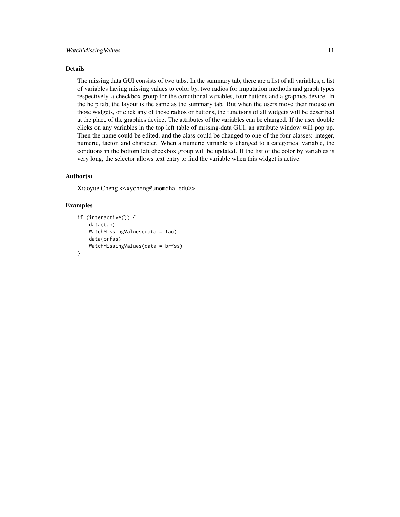#### WatchMissing Values 11

#### Details

The missing data GUI consists of two tabs. In the summary tab, there are a list of all variables, a list of variables having missing values to color by, two radios for imputation methods and graph types respectively, a checkbox group for the conditional variables, four buttons and a graphics device. In the help tab, the layout is the same as the summary tab. But when the users move their mouse on those widgets, or click any of those radios or buttons, the functions of all widgets will be described at the place of the graphics device. The attributes of the variables can be changed. If the user double clicks on any variables in the top left table of missing-data GUI, an attribute window will pop up. Then the name could be edited, and the class could be changed to one of the four classes: integer, numeric, factor, and character. When a numeric variable is changed to a categorical variable, the condtions in the bottom left checkbox group will be updated. If the list of the color by variables is very long, the selector allows text entry to find the variable when this widget is active.

## Author(s)

Xiaoyue Cheng <<xycheng@unomaha.edu>>

#### Examples

```
if (interactive()) {
    data(tao)
    WatchMissingValues(data = tao)
    data(brfss)
    WatchMissingValues(data = brfss)
}
```